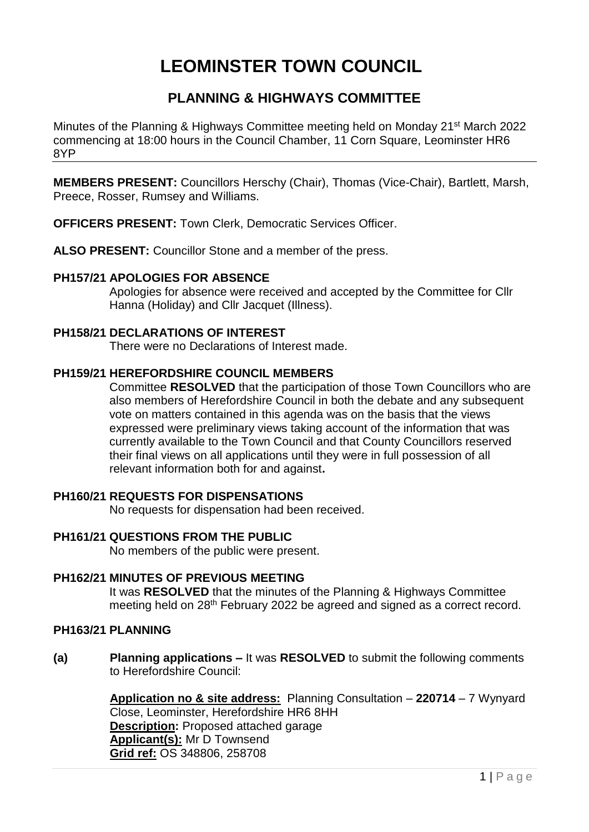# **LEOMINSTER TOWN COUNCIL**

# **PLANNING & HIGHWAYS COMMITTEE**

Minutes of the Planning & Highways Committee meeting held on Monday 21st March 2022 commencing at 18:00 hours in the Council Chamber, 11 Corn Square, Leominster HR6 8YP

**MEMBERS PRESENT:** Councillors Herschy (Chair), Thomas (Vice-Chair), Bartlett, Marsh, Preece, Rosser, Rumsey and Williams.

**OFFICERS PRESENT:** Town Clerk, Democratic Services Officer.

**ALSO PRESENT:** Councillor Stone and a member of the press.

# **PH157/21 APOLOGIES FOR ABSENCE**

Apologies for absence were received and accepted by the Committee for Cllr Hanna (Holiday) and Cllr Jacquet (Illness).

### **PH158/21 DECLARATIONS OF INTEREST**

There were no Declarations of Interest made.

# **PH159/21 HEREFORDSHIRE COUNCIL MEMBERS**

Committee **RESOLVED** that the participation of those Town Councillors who are also members of Herefordshire Council in both the debate and any subsequent vote on matters contained in this agenda was on the basis that the views expressed were preliminary views taking account of the information that was currently available to the Town Council and that County Councillors reserved their final views on all applications until they were in full possession of all relevant information both for and against**.**

# **PH160/21 REQUESTS FOR DISPENSATIONS**

No requests for dispensation had been received.

# **PH161/21 QUESTIONS FROM THE PUBLIC**

No members of the public were present.

#### **PH162/21 MINUTES OF PREVIOUS MEETING**

It was **RESOLVED** that the minutes of the Planning & Highways Committee meeting held on 28th February 2022 be agreed and signed as a correct record.

#### **PH163/21 PLANNING**

**(a) Planning applications –** It was **RESOLVED** to submit the following comments to Herefordshire Council:

> **Application no & site address:** Planning Consultation – **220714** – 7 Wynyard Close, Leominster, Herefordshire HR6 8HH **Description:** Proposed attached garage **Applicant(s):** Mr D Townsend **Grid ref:** OS 348806, 258708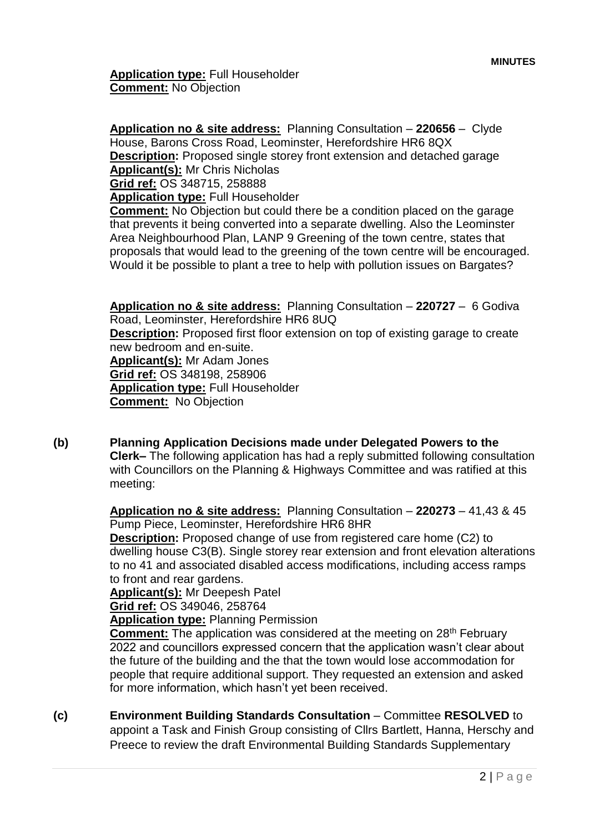**Application type:** Full Householder **Comment:** No Objection

**Application no & site address:** Planning Consultation – **220656** – Clyde House, Barons Cross Road, Leominster, Herefordshire HR6 8QX **Description:** Proposed single storey front extension and detached garage **Applicant(s):** Mr Chris Nicholas **Grid ref:** OS 348715, 258888

**Application type:** Full Householder

**Comment:** No Objection but could there be a condition placed on the garage that prevents it being converted into a separate dwelling. Also the Leominster Area Neighbourhood Plan, LANP 9 Greening of the town centre, states that proposals that would lead to the greening of the town centre will be encouraged. Would it be possible to plant a tree to help with pollution issues on Bargates?

**Application no & site address:** Planning Consultation – **220727** – 6 Godiva Road, Leominster, Herefordshire HR6 8UQ **Description:** Proposed first floor extension on top of existing garage to create new bedroom and en-suite. **Applicant(s):** Mr Adam Jones **Grid ref:** OS 348198, 258906 **Application type:** Full Householder **Comment:** No Objection

**(b) Planning Application Decisions made under Delegated Powers to the Clerk–** The following application has had a reply submitted following consultation with Councillors on the Planning & Highways Committee and was ratified at this meeting:

> **Application no & site address:** Planning Consultation – **220273** – 41,43 & 45 Pump Piece, Leominster, Herefordshire HR6 8HR

**Description:** Proposed change of use from registered care home (C2) to dwelling house C3(B). Single storey rear extension and front elevation alterations to no 41 and associated disabled access modifications, including access ramps to front and rear gardens.

**Applicant(s):** Mr Deepesh Patel

**Grid ref:** OS 349046, 258764

**Application type:** Planning Permission

**Comment:** The application was considered at the meeting on 28<sup>th</sup> February 2022 and councillors expressed concern that the application wasn't clear about the future of the building and the that the town would lose accommodation for people that require additional support. They requested an extension and asked for more information, which hasn't yet been received.

**(c) Environment Building Standards Consultation** – Committee **RESOLVED** to appoint a Task and Finish Group consisting of Cllrs Bartlett, Hanna, Herschy and Preece to review the draft Environmental Building Standards Supplementary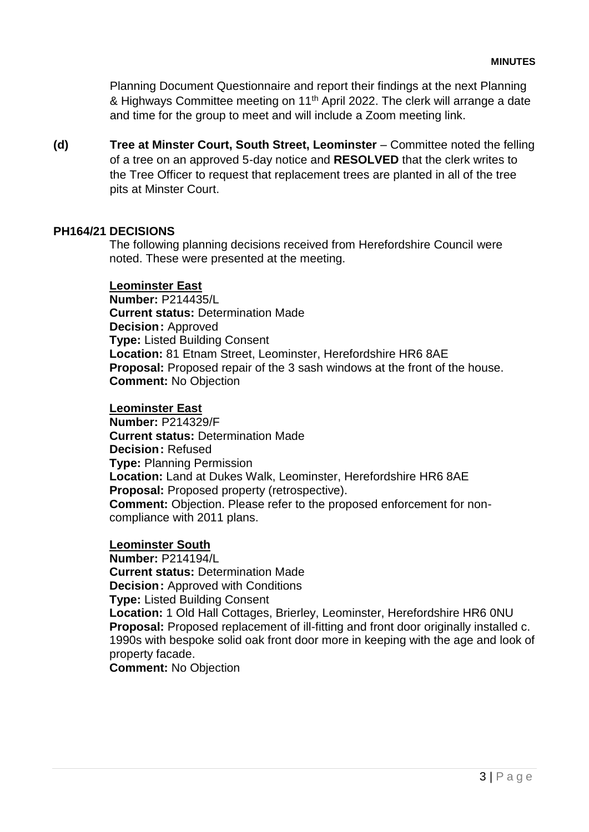Planning Document Questionnaire and report their findings at the next Planning & Highways Committee meeting on 11<sup>th</sup> April 2022. The clerk will arrange a date and time for the group to meet and will include a Zoom meeting link.

**(d) Tree at Minster Court, South Street, Leominster** – Committee noted the felling of a tree on an approved 5-day notice and **RESOLVED** that the clerk writes to the Tree Officer to request that replacement trees are planted in all of the tree pits at Minster Court.

#### **PH164/21 DECISIONS**

The following planning decisions received from Herefordshire Council were noted. These were presented at the meeting.

#### **Leominster East**

**Number:** P214435/L **Current status:** Determination Made **Decision:** Approved **Type:** Listed Building Consent **Location:** 81 Etnam Street, Leominster, Herefordshire HR6 8AE **Proposal:** Proposed repair of the 3 sash windows at the front of the house. **Comment:** No Objection

#### **Leominster East**

**Number:** P214329/F **Current status:** Determination Made **Decision:** Refused **Type:** Planning Permission **Location:** Land at Dukes Walk, Leominster, Herefordshire HR6 8AE **Proposal:** Proposed property (retrospective). **Comment:** Objection. Please refer to the proposed enforcement for noncompliance with 2011 plans.

#### **Leominster South**

**Number:** P214194/L **Current status:** Determination Made **Decision:** Approved with Conditions **Type:** Listed Building Consent **Location:** 1 Old Hall Cottages, Brierley, Leominster, Herefordshire HR6 0NU **Proposal:** Proposed replacement of ill-fitting and front door originally installed c. 1990s with bespoke solid oak front door more in keeping with the age and look of

#### property facade.

**Comment:** No Objection